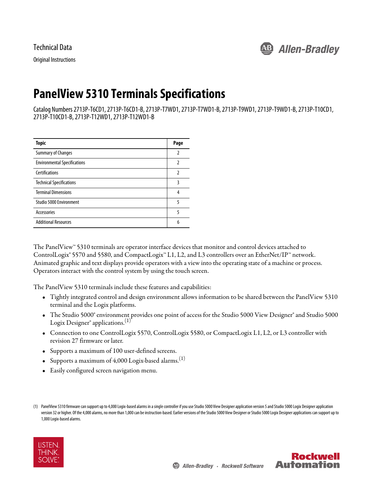Technical Data

Original Instructions



# **PanelView 5310 Terminals Specifications**

Catalog Numbers 2713P-T6CD1, 2713P-T6CD1-B, 2713P-T7WD1, 2713P-T7WD1-B, 2713P-T9WD1, 2713P-T9WD1-B, 2713P-T10CD1, 2713P-T10CD1-B, 2713P-T12WD1, 2713P-T12WD1-B

| <b>Topic</b>                        | Page |
|-------------------------------------|------|
| <b>Summary of Changes</b>           | 2    |
| <b>Environmental Specifications</b> | 2    |
| <b>Certifications</b>               | 2    |
| <b>Technical Specifications</b>     | 3    |
| <b>Terminal Dimensions</b>          | 4    |
| Studio 5000 Environment             | 5    |
| Accessories                         | 5    |
| <b>Additional Resources</b>         | 6    |

The PanelView™ 5310 terminals are operator interface devices that monitor and control devices attached to ControlLogix® 5570 and 5580, and CompactLogix™ L1, L2, and L3 controllers over an EtherNet/IP™ network. Animated graphic and text displays provide operators with a view into the operating state of a machine or process. Operators interact with the control system by using the touch screen.

The PanelView 5310 terminals include these features and capabilities:

- Tightly integrated control and design environment allows information to be shared between the PanelView 5310 terminal and the Logix platforms.
- The Studio 5000° environment provides one point of access for the Studio 5000 View Designer® and Studio 5000 Logix Designer<sup>®</sup> applications.<sup>(1)</sup>
- Connection to one ControlLogix 5570, ControlLogix 5580, or CompactLogix L1, L2, or L3 controller with revision 27 firmware or later.
- <span id="page-0-0"></span>• Supports a maximum of 100 user-defined screens.
- <span id="page-0-1"></span>• Supports a maximum of  $4,000$  Logix-based alarms.<sup>(1)</sup>
- Easily configured screen navigation menu.

<sup>(1)</sup> PanelView 5310 firmware can support up to 4,000 Logix-based alarms in a single controller if you use Studio 5000 View Designer application version 5 and Studio 5000 Logix Designer application version 32 or higher. Of the 4,000 alarms, no more than 1,000 can be instruction-based. Earlier versions of the Studio 5000 View Designer or Studio 5000 Logix Designer applications can support up to 1,000 Logix-based alarms.



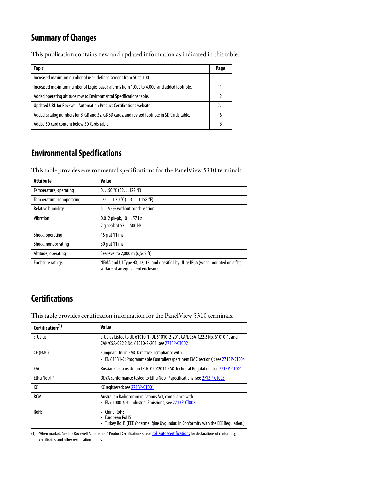## <span id="page-1-0"></span>**Summary of Changes**

This publication contains new and updated information as indicated in this table.

| <b>Topic</b>                                                                               | Page |
|--------------------------------------------------------------------------------------------|------|
| Increased maximum number of user-defined screens from 50 to 100.                           |      |
| Increased maximum number of Logix-based alarms from 1,000 to 4,000, and added footnote.    |      |
| Added operating altitude row to Environmental Specifications table.                        |      |
| Updated URL for Rockwell Automation Product Certifications website.                        | 2.6  |
| Added catalog numbers for 8-GB and 32-GB SD cards, and revised footnote in SD Cards table. | 6    |
| Added SD card content below SD Cards table.                                                | 6    |

## <span id="page-1-1"></span>**Environmental Specifications**

This table provides environmental specifications for the PanelView 5310 terminals.

| <b>Attribute</b>          | <b>Value</b>                                                                                                             |
|---------------------------|--------------------------------------------------------------------------------------------------------------------------|
| Temperature, operating    | $050$ °C (32122 °F)                                                                                                      |
| Temperature, nonoperating | $-25+70$ °C ( $-13+158$ °F)                                                                                              |
| <b>Relative humidity</b>  | 595% without condensation                                                                                                |
| Vibration                 | $0.012$ pk-pk, $1057$ Hz                                                                                                 |
|                           | 2 q peak at 57500 Hz                                                                                                     |
| Shock, operating          | 15 g at 11 ms                                                                                                            |
| Shock, nonoperating       | 30 g at 11 ms                                                                                                            |
| Altitude, operating       | Sea level to 2,000 m (6,562 ft)                                                                                          |
| <b>Enclosure ratings</b>  | NEMA and UL Type 4X, 12, 13, and classified by UL as IP66 (when mounted on a flat<br>surface of an equivalent enclosure) |

## <span id="page-1-2"></span>**Certifications**

This table provides certification information for the PanelView 5310 terminals.

| Certification <sup>(1)</sup> | <b>Value</b>                                                                                                                       |
|------------------------------|------------------------------------------------------------------------------------------------------------------------------------|
| c-UL-us                      | c-UL-us Listed to UL 61010-1, UL 61010-2-201, CAN/CSA-C22.2 No. 61010-1, and<br>CAN/CSA-C22.2 No. 61010-2-201; see 2713P-CT002     |
| CE (EMC)                     | European Union EMC Directive, compliance with:<br>• EN 61131-2; Programmable Controllers (pertinent EMC sections); see 2713P-CT004 |
| EAC                          | Russian Customs Union TP TC 020/2011 EMC Technical Regulation; see 2713P-CT001                                                     |
| EtherNet/IP                  | ODVA conformance tested to EtherNet/IP specifications; see 2713P-CT005                                                             |
| КC                           | KC registered; see 2713P-CT001                                                                                                     |
| <b>RCM</b>                   | Australian Radiocommunications Act, compliance with:<br>• EN 61000-6-4; Industrial Emissions; see 2713P-CT003                      |
| <b>RoHS</b>                  | China RoHS<br>European RoHS<br>Turkey RoHS (EEE Yönetmeliğine Uygundur. In Conformity with the EEE Regulation.)                    |

(1) When marked. See the Rockwell Automation® Product Certifications site at [rok.auto/certifications](https://www.rockwellautomation.com/global/detail.page?pagetitle=Product-Certifications&content_type=tech_data&docid=de1cc7d81606981b0f214fed1137f539) for declarations of conformity, certificates, and other certification details.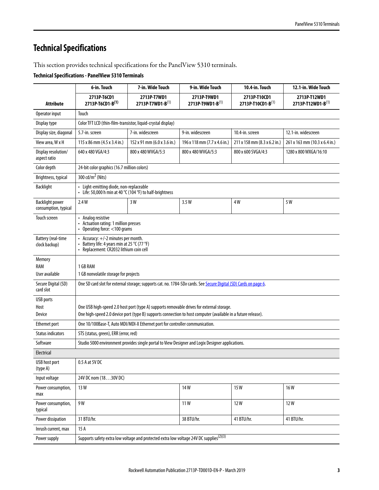## <span id="page-2-0"></span>**Technical Specifications**

This section provides technical specifications for the PanelView 5310 terminals.

#### **Technical Specifications - PanelView 5310 Terminals**

|                                                | 6-in. Touch                                                                                                                  | 7-in. Wide Touch                                                             | 9-in. Wide Touch                                                                                              | 10.4-in. Touch                    | 12.1-in. Wide Touch               |
|------------------------------------------------|------------------------------------------------------------------------------------------------------------------------------|------------------------------------------------------------------------------|---------------------------------------------------------------------------------------------------------------|-----------------------------------|-----------------------------------|
| Attribute                                      | 2713P-T6CD1<br>2713P-T6CD1-B(1)                                                                                              | 2713P-T7WD1<br>2713P-T7WD1-B(1)                                              | 2713P-T9WD1<br>2713P-T9WD1-B(1)                                                                               | 2713P-T10CD1<br>2713P-T10CD1-B(1) | 2713P-T12WD1<br>2713P-T12WD1-B(1) |
| Operator input                                 | Touch                                                                                                                        |                                                                              |                                                                                                               |                                   |                                   |
| Display type                                   | Color TFT LCD (thin-film-transistor, liquid-crystal display)                                                                 |                                                                              |                                                                                                               |                                   |                                   |
| Display size, diagonal                         | 5.7-in. screen                                                                                                               | 7-in. widescreen                                                             | 9-in. widescreen                                                                                              | 10.4-in. screen                   | 12.1-in. widescreen               |
| View area, W x H                               | 115 x 86 mm (4.5 x 3.4 in.)                                                                                                  | 152 x 91 mm (6.0 x 3.6 in.)                                                  | 196 x 118 mm (7.7 x 4.6 in.)                                                                                  | 211 x 158 mm (8.3 x 6.2 in.)      | 261 x 163 mm (10.3 x 6.4 in.)     |
| Display resolution/<br>aspect ratio            | 640 x 480 VGA/4:3                                                                                                            | 800 x 480 WVGA/5:3                                                           | 800 x 480 WVGA/5:3                                                                                            | 800 x 600 SVGA/4:3                | 1280 x 800 WXGA/16:10             |
| Color depth                                    | 24-bit color graphics (16.7 million colors)                                                                                  |                                                                              |                                                                                                               |                                   |                                   |
| Brightness, typical                            | 300 cd/m <sup>2</sup> (Nits)                                                                                                 |                                                                              |                                                                                                               |                                   |                                   |
| <b>Backlight</b>                               | • Light-emitting diode, non-replaceable<br>• Life: 50,000 h min at 40 $^{\circ}$ C (104 $^{\circ}$ F) to half-brightness     |                                                                              |                                                                                                               |                                   |                                   |
| <b>Backlight power</b><br>consumption, typical | 2.4W                                                                                                                         | 3 W                                                                          | 3.5W                                                                                                          | 4W                                | 5W                                |
| Touch screen                                   | • Analog resistive<br>Actuation rating: 1 million presses<br>• Operating force: <100 grams                                   |                                                                              |                                                                                                               |                                   |                                   |
| <b>Battery</b> (real-time<br>clock backup)     | • Accuracy: +/-2 minutes per month.<br>Battery life: 4 years min at 25 °C (77 °F)<br>• Replacement: CR2032 lithium coin cell |                                                                              |                                                                                                               |                                   |                                   |
| Memory                                         |                                                                                                                              |                                                                              |                                                                                                               |                                   |                                   |
| RAM                                            | 1 GB RAM                                                                                                                     |                                                                              |                                                                                                               |                                   |                                   |
| User available                                 | 1 GB nonvolatile storage for projects                                                                                        |                                                                              |                                                                                                               |                                   |                                   |
| Secure Digital (SD)<br>card slot               | One SD card slot for external storage; supports cat. no. 1784-SDx cards. See Secure Digital (SD) Cards on page 6.            |                                                                              |                                                                                                               |                                   |                                   |
| <b>USB</b> ports                               | One USB high-speed 2.0 host port (type A) supports removable drives for external storage.                                    |                                                                              |                                                                                                               |                                   |                                   |
| Host<br>Device                                 |                                                                                                                              |                                                                              | One high-speed 2.0 device port (type B) supports connection to host computer (available in a future release). |                                   |                                   |
| <b>Ethernet port</b>                           |                                                                                                                              | One 10/100Base-T, Auto MDI/MDI-X Ethernet port for controller communication. |                                                                                                               |                                   |                                   |
| <b>Status indicators</b>                       | STS (status, green), ERR (error, red)                                                                                        |                                                                              |                                                                                                               |                                   |                                   |
| Software                                       |                                                                                                                              |                                                                              | Studio 5000 environment provides single portal to View Designer and Logix Designer applications.              |                                   |                                   |
| Electrical                                     |                                                                                                                              |                                                                              |                                                                                                               |                                   |                                   |
| USB host port<br>(type A)                      | 0.5 A at 5V DC                                                                                                               |                                                                              |                                                                                                               |                                   |                                   |
| Input voltage                                  | 24V DC nom (1830V DC)                                                                                                        |                                                                              |                                                                                                               |                                   |                                   |
| Power consumption,<br>max                      | 14W<br>15W<br>16W<br>13 W                                                                                                    |                                                                              |                                                                                                               |                                   |                                   |
| Power consumption,<br>typical                  | 9W<br>12W<br>11W<br>12W                                                                                                      |                                                                              |                                                                                                               |                                   |                                   |
| Power dissipation                              | 31 BTU/hr.                                                                                                                   |                                                                              | 38 BTU/hr.                                                                                                    | 41 BTU/hr.                        | 41 BTU/hr.                        |
| Inrush current, max                            | 15 A                                                                                                                         |                                                                              |                                                                                                               |                                   |                                   |
| Power supply                                   | Supports safety extra low voltage and protected extra low voltage 24V DC supplies <sup>(2)(3)</sup>                          |                                                                              |                                                                                                               |                                   |                                   |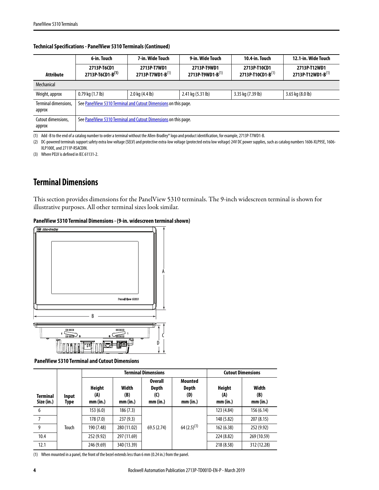|                                | 6-in. Touch                                                     | 7-in. Wide Touch                                                | 9-in. Wide Touch                | 10.4-in. Touch                    | 12.1-in. Wide Touch               |
|--------------------------------|-----------------------------------------------------------------|-----------------------------------------------------------------|---------------------------------|-----------------------------------|-----------------------------------|
| Attribute                      | 2713P-T6CD1<br>2713P-T6CD1-B(1)                                 | 2713P-T7WD1<br>2713P-T7WD1-B(1)                                 | 2713P-T9WD1<br>2713P-T9WD1-B(1) | 2713P-T10CD1<br>2713P-T10CD1-B(1) | 2713P-T12WD1<br>2713P-T12WD1-B(1) |
| Mechanical                     |                                                                 |                                                                 |                                 |                                   |                                   |
| Weight, approx                 | $0.79$ kg $(1.7$ lb)                                            | $2.0$ kg $(4.4$ lb)                                             | 2.41 kg (5.31 lb)               | 3.35 kg (7.39 lb)                 | $3.65$ kg $(8.0)$ b)              |
| Terminal dimensions,<br>approx | See PanelView 5310 Terminal and Cutout Dimensions on this page. |                                                                 |                                 |                                   |                                   |
| Cutout dimensions,<br>approx   |                                                                 | See PanelView 5310 Terminal and Cutout Dimensions on this page. |                                 |                                   |                                   |

#### **Technical Specifications - PanelView 5310 Terminals (Continued)**

(1) Add -B to the end of a catalog number to order a terminal without the Allen-Bradley® logo and product identification, for example, 2713P-T7WD1-B.

(2) DC-powered terminals support safety extra low voltage (SELV) and protective extra-low voltage (protected extra low voltage) 24V DC power supplies, such as catalog numbers 1606-XLP95E, 1606-XLP100E, and 2711P-RSACDIN.

(3) Where PELV is defined in IEC 61131-2.

## <span id="page-3-0"></span>**Terminal Dimensions**

This section provides dimensions for the PanelView 5310 terminals. The 9-inch widescreen terminal is shown for illustrative purposes. All other terminal sizes look similar.

#### **PanelView 5310 Terminal Dimensions - (9-in. widescreen terminal shown)**



<span id="page-3-1"></span> **PanelView 5310 Terminal and Cutout Dimensions**

|                               |               | <b>Terminal Dimensions</b> |                          |                                            |                                            | <b>Cutout Dimensions</b>         |                          |            |            |
|-------------------------------|---------------|----------------------------|--------------------------|--------------------------------------------|--------------------------------------------|----------------------------------|--------------------------|------------|------------|
| <b>Terminal</b><br>Size (in.) | Input<br>Type | Height<br>(A)<br>mm (in.)  | Width<br>(B)<br>mm (in.) | <b>Overall</b><br>Depth<br>(C)<br>mm (in.) | Mounted<br><b>Depth</b><br>(D)<br>mm (in.) | <b>Height</b><br>(A)<br>mm (in.) | Width<br>(B)<br>mm (in.) |            |            |
| 6                             |               | 153(6.0)                   | 186(7.3)                 |                                            |                                            |                                  |                          | 123 (4.84) | 156 (6.14) |
| 7                             |               | 178(7.0)                   | 237(9.3)                 |                                            |                                            |                                  |                          | 148 (5.82) | 207 (8.15) |
| 9                             | Touch         | 190 (7.48)                 | 280 (11.02)              | 69.5 (2.74)                                | $64(2.5)^{(1)}$                            | 162 (6.38)                       | 252 (9.92)               |            |            |
| 10.4                          |               | 252 (9.92)                 | 297 (11.69)              |                                            |                                            | 224 (8.82)                       | 269 (10.59)              |            |            |
| 12.1                          |               | 246 (9.69)                 | 340 (13.39)              |                                            |                                            | 218 (8.58)                       | 312 (12.28)              |            |            |

(1) When mounted in a panel, the front of the bezel extends less than 6 mm (0.24 in.) from the panel.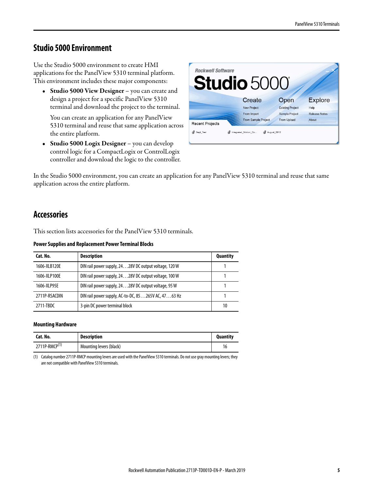### <span id="page-4-0"></span>**Studio 5000 Environment**

Use the Studio 5000 environment to create HMI applications for the PanelView 5310 terminal platform. This environment includes these major components:

• **Studio 5000 View Designer** – you can create and design a project for a specific PanelView 5310 terminal and download the project to the terminal.

You can create an application for any PanelView 5310 terminal and reuse that same application across the entire platform.

• **Studio 5000 Logix Designer** – you can develop control logic for a CompactLogix or ControlLogix controller and download the logic to the controller.



In the Studio 5000 environment, you can create an application for any PanelView 5310 terminal and reuse that same application across the entire platform.

### <span id="page-4-1"></span>**Accessories**

This section lists accessories for the PanelView 5310 terminals.

#### **Power Supplies and Replacement Power Terminal Blocks**

| Cat. No.      | <b>Description</b>                                    | <b>Quantity</b> |
|---------------|-------------------------------------------------------|-----------------|
| 1606-XLB120E  | DIN rail power supply, 2428V DC output voltage, 120 W |                 |
| 1606-XLP100E  | DIN rail power supply, 2428V DC output voltage, 100 W |                 |
| 1606-XLP95E   | DIN rail power supply, 2428V DC output voltage, 95 W  |                 |
| 2711P-RSACDIN | DIN rail power supply, AC-to-DC, 85265V AC, 4763 Hz   |                 |
| 2711-TBDC     | 3-pin DC power terminal block                         | 10              |

#### **Mounting Hardware**

| Cat. No.                  | <b>Description</b>      | <b>Quantity</b> |
|---------------------------|-------------------------|-----------------|
| 2711P-RMCP <sup>(1)</sup> | Mounting levers (black) |                 |

(1) Catalog number 2711P-RMCP mounting levers are used with the PanelView 5310 terminals. Do not use gray mounting levers; they are not compatible with PanelView 5310 terminals.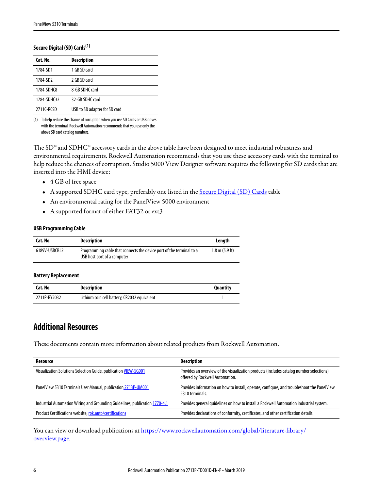#### <span id="page-5-1"></span>**Secure Digital (SD) Cards(1)**

| Cat. No.             | <b>Description</b>            |
|----------------------|-------------------------------|
| 1784-SD1             | 1 GB SD card                  |
| 1784-SD <sub>2</sub> | 2 GB SD card                  |
| 1784-SDHC8           | 8-GB SDHC card                |
| 1784-SDHC32          | 32-GB SDHC card               |
| 2711C-RCSD           | USB to SD adapter for SD card |

(1) To help reduce the chance of corruption when you use SD Cards or USB drives with the terminal, Rockwell Automation recommends that you use only the above SD card catalog numbers.

The SD™ and SDHC™ accessory cards in the above table have been designed to meet industrial robustness and environmental requirements. Rockwell Automation recommends that you use these accessory cards with the terminal to help reduce the chances of corruption. Studio 5000 View Designer software requires the following for SD cards that are inserted into the HMI device:

- 4 GB of free space
- A supported SDHC card type, preferably one listed in the **Secure Digital (SD) Cards** table
- An environmental rating for the PanelView 5000 environment
- A supported format of either FAT32 or ext3

#### **USB Programming Cable**

| Cat. No.      | <b>Description</b>                                                                                  | Lenath                   |
|---------------|-----------------------------------------------------------------------------------------------------|--------------------------|
| 6189V-USBCBL2 | Programming cable that connects the device port of the terminal to a<br>USB host port of a computer | $1.8 \text{ m}$ (5.9 ft) |

#### **Battery Replacement**

| Cat. No.     | <b>Description</b>                           | <b>Quantity</b> |
|--------------|----------------------------------------------|-----------------|
| 2711P-RY2032 | Lithium coin cell battery, CR2032 equivalent |                 |

### <span id="page-5-0"></span>**Additional Resources**

These documents contain more information about related products from Rockwell Automation.

| Resource                                                                    | Description                                                                                                                |  |
|-----------------------------------------------------------------------------|----------------------------------------------------------------------------------------------------------------------------|--|
| Visualization Solutions Selection Guide, publication VIEW-SG001             | Provides an overview of the visualization products (includes catalog number selections)<br>offered by Rockwell Automation. |  |
| PanelView 5310 Terminals User Manual, publication 2713P-UM001               | Provides information on how to install, operate, configure, and troubleshoot the PanelView<br>5310 terminals.              |  |
| Industrial Automation Wiring and Grounding Guidelines, publication 1770-4.1 | Provides general guidelines on how to install a Rockwell Automation industrial system.                                     |  |
| Product Certifications website, rok.auto/certifications                     | Provides declarations of conformity, certificates, and other certification details.                                        |  |

You can view or download publications at [https://www.rockwellautomation.com/global/literature-library/](https://www.rockwellautomation.com/global/literature-library/overview.page) [overview.page.](https://www.rockwellautomation.com/global/literature-library/overview.page)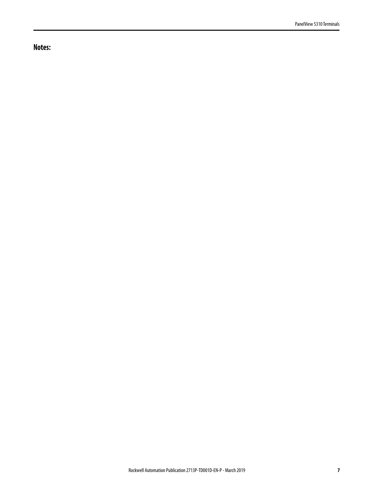**Notes:**